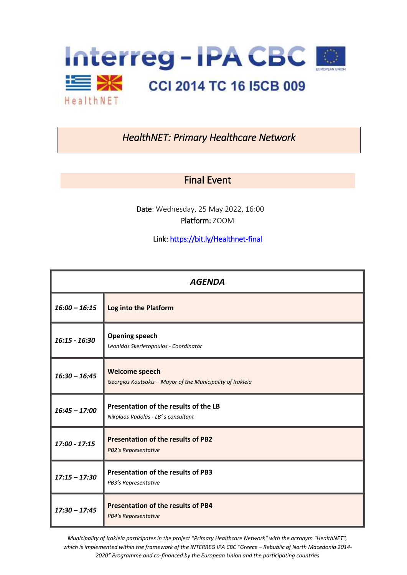

## *HealthNET: Primary Healthcare Network*

## Final Event

Date: Wednesday, 25 May 2022, 16:00 Platform: ZOOM

Link[: https://bit.ly/Healthnet-final](https://bit.ly/Healthnet-final) 

| <b>AGENDA</b>   |                                                                                     |
|-----------------|-------------------------------------------------------------------------------------|
| $16:00 - 16:15$ | Log into the Platform                                                               |
| $16:15 - 16:30$ | <b>Opening speech</b><br>Leonidas Skerletopoulos - Coordinator                      |
| $16:30 - 16:45$ | <b>Welcome speech</b><br>Georgios Koutsakis - Mayor of the Municipality of Irakleia |
| $16:45 - 17:00$ | Presentation of the results of the LB<br>Nikolaos Vadolas - LB' s consultant        |
| $17:00 - 17:15$ | <b>Presentation of the results of PB2</b><br><b>PB2's Representative</b>            |
| $17:15 - 17:30$ | <b>Presentation of the results of PB3</b><br>PB3's Representative                   |
| $17:30 - 17:45$ | <b>Presentation of the results of PB4</b><br><b>PB4's Representative</b>            |

*Municipality of Irakleia participates in the project "Primary Healthcare Network" with the acronym "HealthNET", which is implemented within the framework of the INTERREG IPA CBC "Greece – Rebublic of North Macedonia 2014- 2020" Programme and co-financed by the European Union and the participating countries*